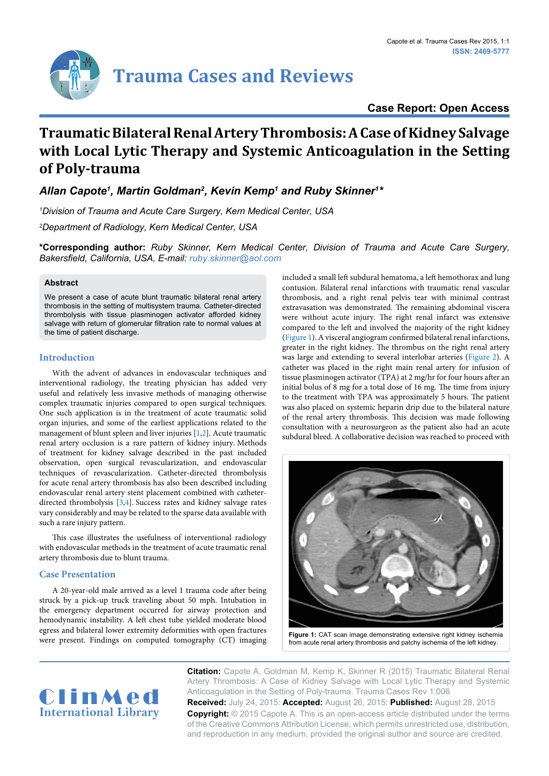## **Case Report: Open Access**

# **Traumatic Bilateral Renal Artery Thrombosis: A Case of Kidney Salvage with Local Lytic Therapy and Systemic Anticoagulation in the Setting of Poly-trauma**

Allan Capote<sup>1</sup>, Martin Goldman<sup>2</sup>, Kevin Kemp<sup>1</sup> and Ruby Skinner<sup>1\*</sup>

*1 Division of Trauma and Acute Care Surgery, Kern Medical Center, USA*

*2 Department of Radiology, Kern Medical Center, USA*

**\*Corresponding author:** *Ruby Skinner, Kern Medical Center, Division of Trauma and Acute Care Surgery, Bakersfield, California, USA, E-mail: ruby.skinner@aol.com*

### **Abstract**

We present a case of acute blunt traumatic bilateral renal artery thrombosis in the setting of multisystem trauma. Catheter-directed thrombolysis with tissue plasminogen activator afforded kidney salvage with return of glomerular filtration rate to normal values at the time of patient discharge.

## **Introduction**

With the advent of advances in endovascular techniques and interventional radiology, the treating physician has added very useful and relatively less invasive methods of managing otherwise complex traumatic injuries compared to open surgical techniques. One such application is in the treatment of acute traumatic solid organ injuries, and some of the earliest applications related to the management of blunt spleen and liver injuries [[1](#page-2-0)[,2\]](#page-2-1). Acute traumatic renal artery occlusion is a rare pattern of kidney injury. Methods of treatment for kidney salvage described in the past included observation, open surgical revascularization, and endovascular techniques of revascularization. Catheter-directed thrombolysis for acute renal artery thrombosis has also been described including endovascular renal artery stent placement combined with catheterdirected thrombolysis [\[3,](#page-2-2)[4\]](#page-2-3). Success rates and kidney salvage rates vary considerably and may be related to the sparse data available with such a rare injury pattern.

This case illustrates the usefulness of interventional radiology with endovascular methods in the treatment of acute traumatic renal artery thrombosis due to blunt trauma.

### **Case Presentation**

A 20-year-old male arrived as a level 1 trauma code after being struck by a pick-up truck traveling about 50 mph. Intubation in the emergency department occurred for airway protection and hemodynamic instability. A left chest tube yielded moderate blood egress and bilateral lower extremity deformities with open fractures were present. Findings on computed tomography (CT) imaging included a small left subdural hematoma, a left hemothorax and lung contusion. Bilateral renal infarctions with traumatic renal vascular thrombosis, and a right renal pelvis tear with minimal contrast extravasation was demonstrated. The remaining abdominal viscera were without acute injury. The right renal infarct was extensive compared to the left and involved the majority of the right kidney [\(Figure 1](#page-0-0)). A visceral angiogram confirmed bilateral renal infarctions, greater in the right kidney. The thrombus on the right renal artery was large and extending to several interlobar arteries ([Figure 2](#page-1-0)). A catheter was placed in the right main renal artery for infusion of tissue plasminogen activator (TPA) at 2 mg/hr for four hours after an initial bolus of 8 mg for a total dose of 16 mg. The time from injury to the treatment with TPA was approximately 5 hours. The patient was also placed on systemic heparin drip due to the bilateral nature of the renal artery thrombosis. This decision was made following consultation with a neurosurgeon as the patient also had an acute subdural bleed. A collaborative decision was reached to proceed with

<span id="page-0-0"></span>

from acute renal artery thrombosis and patchy ischemia of the left kidney.

**Citation:** Capote A, Goldman M, Kemp K, Skinner R (2015) Traumatic Bilateral Renal Artery Thrombosis: A Case of Kidney Salvage with Local Lytic Therapy and Systemic Anticoagulation in the Setting of Poly-trauma. Trauma Cases Rev 1:006

ClinMed **International Library**

**Received:** July 24, 2015: **Accepted:** August 26, 2015: **Published:** August 28, 2015 **Copyright:** © 2015 Capote A. This is an open-access article distributed under the terms of the Creative Commons Attribution License, which permits unrestricted use, distribution, and reproduction in any medium, provided the original author and source are credited.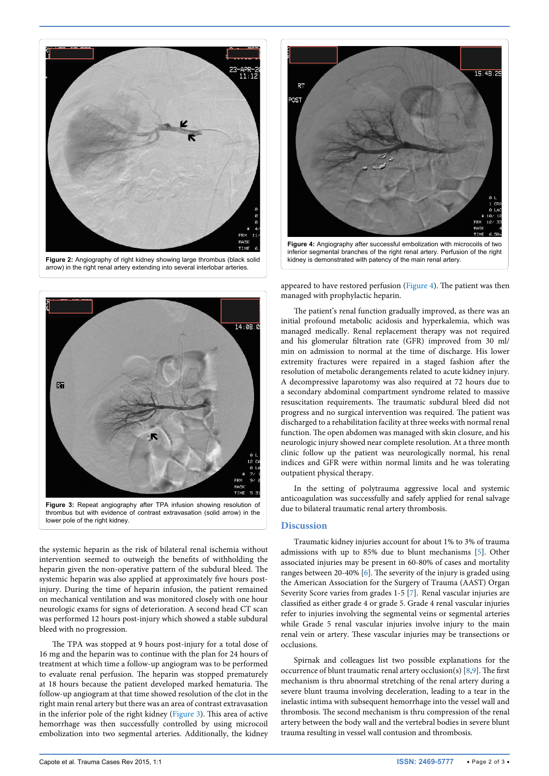<span id="page-1-0"></span>



<span id="page-1-1"></span>

lower pole of the right kidney.

the systemic heparin as the risk of bilateral renal ischemia without intervention seemed to outweigh the benefits of withholding the heparin given the non-operative pattern of the subdural bleed. The systemic heparin was also applied at approximately five hours postinjury. During the time of heparin infusion, the patient remained on mechanical ventilation and was monitored closely with one hour neurologic exams for signs of deterioration. A second head CT scan was performed 12 hours post-injury which showed a stable subdural bleed with no progression.

The TPA was stopped at 9 hours post-injury for a total dose of 16 mg and the heparin was to continue with the plan for 24 hours of treatment at which time a follow-up angiogram was to be performed to evaluate renal perfusion. The heparin was stopped prematurely at 18 hours because the patient developed marked hematuria. The follow-up angiogram at that time showed resolution of the clot in the right main renal artery but there was an area of contrast extravasation in the inferior pole of the right kidney [\(Figure 3](#page-1-1)). This area of active hemorrhage was then successfully controlled by using microcoil embolization into two segmental arteries. Additionally, the kidney

<span id="page-1-2"></span>

inferior segmental branches of the right renal artery. Perfusion of the right kidney is demonstrated with patency of the main renal artery.

appeared to have restored perfusion [\(Figure 4](#page-1-2)). The patient was then managed with prophylactic heparin.

The patient's renal function gradually improved, as there was an initial profound metabolic acidosis and hyperkalemia, which was managed medically. Renal replacement therapy was not required and his glomerular filtration rate (GFR) improved from 30 ml/ min on admission to normal at the time of discharge. His lower extremity fractures were repaired in a staged fashion after the resolution of metabolic derangements related to acute kidney injury. A decompressive laparotomy was also required at 72 hours due to a secondary abdominal compartment syndrome related to massive resuscitation requirements. The traumatic subdural bleed did not progress and no surgical intervention was required. The patient was discharged to a rehabilitation facility at three weeks with normal renal function. The open abdomen was managed with skin closure, and his neurologic injury showed near complete resolution. At a three month clinic follow up the patient was neurologically normal, his renal indices and GFR were within normal limits and he was tolerating outpatient physical therapy.

In the setting of polytrauma aggressive local and systemic anticoagulation was successfully and safely applied for renal salvage due to bilateral traumatic renal artery thrombosis.

#### **Discussion**

Traumatic kidney injuries account for about 1% to 3% of trauma admissions with up to 85% due to blunt mechanisms [[5](#page-2-4)]. Other associated injuries may be present in 60-80% of cases and mortality ranges between 20-40% [[6](#page-2-5)]. The severity of the injury is graded using the American Association for the Surgery of Trauma (AAST) Organ Severity Score varies from grades 1-5 [\[7\]](#page-2-6). Renal vascular injuries are classified as either grade 4 or grade 5. Grade 4 renal vascular injuries refer to injuries involving the segmental veins or segmental arteries while Grade 5 renal vascular injuries involve injury to the main renal vein or artery. These vascular injuries may be transections or occlusions.

Spirnak and colleagues list two possible explanations for the occurrence of blunt traumatic renal artery occlusion(s) [[8](#page-2-7)[,9](#page-2-8)]. The first mechanism is thru abnormal stretching of the renal artery during a severe blunt trauma involving deceleration, leading to a tear in the inelastic intima with subsequent hemorrhage into the vessel wall and thrombosis. The second mechanism is thru compression of the renal artery between the body wall and the vertebral bodies in severe blunt trauma resulting in vessel wall contusion and thrombosis.